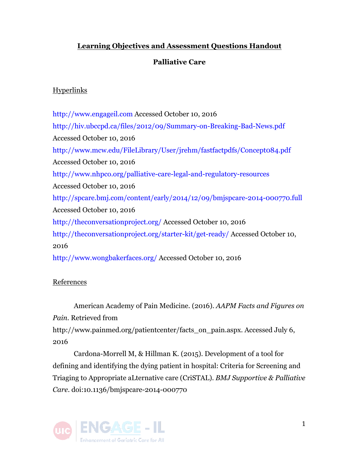## **Learning Objectives and Assessment Questions Handout**

## **Palliative Care**

## **Hyperlinks**

http://www.engageil.com Accessed October 10, 2016 http://hiv.ubccpd.ca/files/2012/09/Summary-on-Breaking-Bad-News.pdf Accessed October 10, 2016 http://www.mcw.edu/FileLibrary/User/jrehm/fastfactpdfs/Concept084.pdf Accessed October 10, 2016 http://www.nhpco.org/palliative-care-legal-and-regulatory-resources Accessed October 10, 2016 http://spcare.bmj.com/content/early/2014/12/09/bmjspcare-2014-000770.full Accessed October 10, 2016 http://theconversationproject.org/ Accessed October 10, 2016 http://theconversationproject.org/starter-kit/get-ready/ Accessed October 10, 2016 http://www.wongbakerfaces.org/ Accessed October 10, 2016

## References

American Academy of Pain Medicine. (2016). *AAPM Facts and Figures on Pain*. Retrieved from http://www.painmed.org/patientcenter/facts\_on\_pain.aspx. Accessed July 6, 2016

Cardona-Morrell M, & Hillman K. (2015). Development of a tool for defining and identifying the dying patient in hospital: Criteria for Screening and Triaging to Appropriate aLternative care (CriSTAL). *BMJ Supportive & Palliative Care*. doi:10.1136/bmjspcare-2014-000770

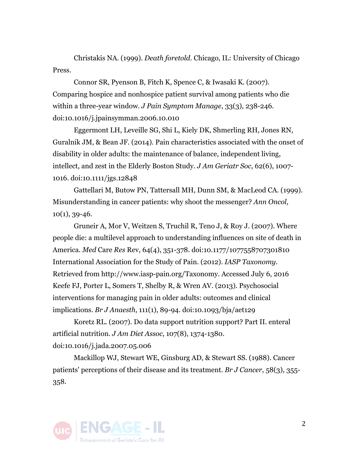Christakis NA. (1999). *Death foretold*. Chicago, IL: University of Chicago Press.

Connor SR, Pyenson B, Fitch K, Spence C, & Iwasaki K. (2007). Comparing hospice and nonhospice patient survival among patients who die within a three-year window. *J Pain Symptom Manage*, 33(3), 238-246. doi:10.1016/j.jpainsymman.2006.10.010

Eggermont LH, Leveille SG, Shi L, Kiely DK, Shmerling RH, Jones RN, Guralnik JM, & Bean JF. (2014). Pain characteristics associated with the onset of disability in older adults: the maintenance of balance, independent living, intellect, and zest in the Elderly Boston Study. *J Am Geriatr Soc*, 62(6), 1007- 1016. doi:10.1111/jgs.12848

Gattellari M, Butow PN, Tattersall MH, Dunn SM, & MacLeod CA. (1999). Misunderstanding in cancer patients: why shoot the messenger? *Ann Oncol*,  $10(1), 39-46.$ 

Gruneir A, Mor V, Weitzen S, Truchil R, Teno J, & Roy J. (2007). Where people die: a multilevel approach to understanding influences on site of death in America. *Med* Care *Res* Rev, 64(4), 351-378. doi:10.1177/1077558707301810 International Association for the Study of Pain. (2012). *IASP Taxonomy*. Retrieved from http://www.iasp-pain.org/Taxonomy. Accessed July 6, 2016 Keefe FJ, Porter L, Somers T, Shelby R, & Wren AV. (2013). Psychosocial interventions for managing pain in older adults: outcomes and clinical implications. *Br J Anaesth*, 111(1), 89-94. doi:10.1093/bja/aet129

Koretz RL. (2007). Do data support nutrition support? Part II. enteral artificial nutrition. *J Am Diet Assoc*, 107(8), 1374-1380. doi:10.1016/j.jada.2007.05.006

Mackillop WJ, Stewart WE, Ginsburg AD, & Stewart SS. (1988). Cancer patients' perceptions of their disease and its treatment. *Br J Cancer*, 58(3), 355- 358.

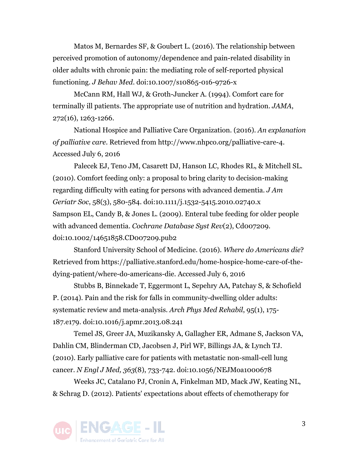Matos M, Bernardes SF, & Goubert L. (2016). The relationship between perceived promotion of autonomy/dependence and pain-related disability in older adults with chronic pain: the mediating role of self-reported physical functioning. *J Behav Med*. doi:10.1007/s10865-016-9726-x

McCann RM, Hall WJ, & Groth-Juncker A. (1994). Comfort care for terminally ill patients. The appropriate use of nutrition and hydration. *JAMA*, 272(16), 1263-1266.

National Hospice and Palliative Care Organization. (2016). *An explanation of palliative care*. Retrieved from http://www.nhpco.org/palliative-care-4. Accessed July 6, 2016

Palecek EJ, Teno JM, Casarett DJ, Hanson LC, Rhodes RL, & Mitchell SL. (2010). Comfort feeding only: a proposal to bring clarity to decision-making regarding difficulty with eating for persons with advanced dementia. *J Am Geriatr Soc*, 58(3), 580-584. doi:10.1111/j.1532-5415.2010.02740.x Sampson EL, Candy B, & Jones L. (2009). Enteral tube feeding for older people with advanced dementia. *Cochrane Database Syst Rev*(2), Cd007209. doi:10.1002/14651858.CD007209.pub2

Stanford University School of Medicine. (2016). *Where do Americans die*? Retrieved from https://palliative.stanford.edu/home-hospice-home-care-of-thedying-patient/where-do-americans-die. Accessed July 6, 2016

Stubbs B, Binnekade T, Eggermont L, Sepehry AA, Patchay S, & Schofield P. (2014). Pain and the risk for falls in community-dwelling older adults: systematic review and meta-analysis. *Arch Phys Med Rehabil*, 95(1), 175- 187.e179. doi:10.1016/j.apmr.2013.08.241

Temel JS, Greer JA, Muzikansky A, Gallagher ER, Admane S, Jackson VA, Dahlin CM, Blinderman CD, Jacobsen J, Pirl WF, Billings JA, & Lynch TJ. (2010). Early palliative care for patients with metastatic non-small-cell lung cancer. *N Engl J Med, 363*(8), 733-742. doi:10.1056/NEJMoa1000678

Weeks JC, Catalano PJ, Cronin A, Finkelman MD, Mack JW, Keating NL, & Schrag D. (2012). Patients' expectations about effects of chemotherapy for